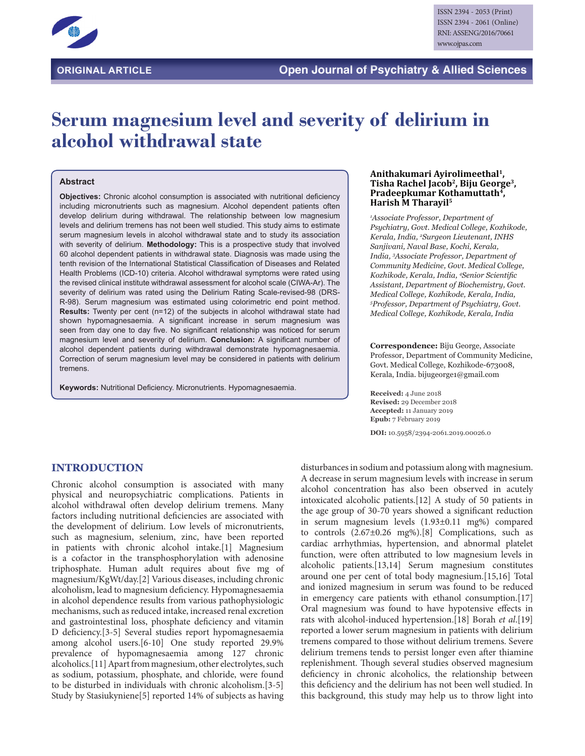

# **Serum magnesium level and severity of delirium in alcohol withdrawal state**

#### **Abstract**

**Objectives:** Chronic alcohol consumption is associated with nutritional deficiency including micronutrients such as magnesium. Alcohol dependent patients often develop delirium during withdrawal. The relationship between low magnesium levels and delirium tremens has not been well studied. This study aims to estimate serum magnesium levels in alcohol withdrawal state and to study its association with severity of delirium. **Methodology:** This is a prospective study that involved 60 alcohol dependent patients in withdrawal state. Diagnosis was made using the tenth revision of the International Statistical Classification of Diseases and Related Health Problems (ICD-10) criteria. Alcohol withdrawal symptoms were rated using the revised clinical institute withdrawal assessment for alcohol scale (CIWA-Ar). The severity of delirium was rated using the Delirium Rating Scale-revised-98 (DRS-R-98). Serum magnesium was estimated using colorimetric end point method. **Results:** Twenty per cent (n=12) of the subjects in alcohol withdrawal state had shown hypomagnesaemia. A significant increase in serum magnesium was seen from day one to day five. No significant relationship was noticed for serum magnesium level and severity of delirium. **Conclusion:** A significant number of alcohol dependent patients during withdrawal demonstrate hypomagnesaemia. Correction of serum magnesium level may be considered in patients with delirium tremens.

**Keywords:** Nutritional Deficiency. Micronutrients. Hypomagnesaemia.

#### **Anithakumari Ayirolimeethal1, Tisha Rachel Jacob2, Biju George3,**  Pradeepkumar Kothamuttath<sup>4</sup>, **Harish M Tharayil5**

*1 Associate Professor, Department of Psychiatry, Govt. Medical College, Kozhikode, Kerala, India, 2 Surgeon Lieutenant, INHS Sanjivani, Naval Base, Kochi, Kerala, India, 3 Associate Professor, Department of Community Medicine, Govt. Medical College, Kozhikode, Kerala, India, 4 Senior Scientific Assistant, Department of Biochemistry, Govt. Medical College, Kozhikode, Kerala, India, 5 Professor, Department of Psychiatry, Govt. Medical College, Kozhikode, Kerala, India*

**Correspondence:** Biju George, Associate Professor, Department of Community Medicine, Govt. Medical College, Kozhikode-673008, Kerala, India. bijugeorge1@gmail.com

**Received:** 4 June 2018 **Revised:** 29 December 2018 **Accepted:** 11 January 2019 **Epub:** 7 February 2019

**DOI:** 10.5958/2394-2061.2019.00026.0

# **INTRODUCTION**

Chronic alcohol consumption is associated with many physical and neuropsychiatric complications. Patients in alcohol withdrawal often develop delirium tremens. Many factors including nutritional deficiencies are associated with the development of delirium. Low levels of micronutrients, such as magnesium, selenium, zinc, have been reported in patients with chronic alcohol intake.[1] Magnesium is a cofactor in the transphosphorylation with adenosine triphosphate. Human adult requires about five mg of magnesium/KgWt/day.[2] Various diseases, including chronic alcoholism, lead to magnesium deficiency. Hypomagnesaemia in alcohol dependence results from various pathophysiologic mechanisms, such as reduced intake, increased renal excretion and gastrointestinal loss, phosphate deficiency and vitamin D deficiency.[3-5] Several studies report hypomagnesaemia among alcohol users.[6-10] One study reported 29.9% prevalence of hypomagnesaemia among 127 chronic alcoholics.[11] Apart from magnesium, other electrolytes, such as sodium, potassium, phosphate, and chloride, were found to be disturbed in individuals with chronic alcoholism.[3-5] Study by Stasiukyniene[5] reported 14% of subjects as having

disturbances in sodium and potassium along with magnesium. A decrease in serum magnesium levels with increase in serum alcohol concentration has also been observed in acutely intoxicated alcoholic patients.[12] A study of 50 patients in the age group of 30-70 years showed a significant reduction in serum magnesium levels (1.93±0.11 mg%) compared to controls (2.67±0.26 mg%).[8] Complications, such as cardiac arrhythmias, hypertension, and abnormal platelet function, were often attributed to low magnesium levels in alcoholic patients.[13,14] Serum magnesium constitutes around one per cent of total body magnesium.[15,16] Total and ionized magnesium in serum was found to be reduced in emergency care patients with ethanol consumption.[17] Oral magnesium was found to have hypotensive effects in rats with alcohol-induced hypertension.[18] Borah *et al*.[19] reported a lower serum magnesium in patients with delirium tremens compared to those without delirium tremens. Severe delirium tremens tends to persist longer even after thiamine replenishment. Though several studies observed magnesium deficiency in chronic alcoholics, the relationship between this deficiency and the delirium has not been well studied. In this background, this study may help us to throw light into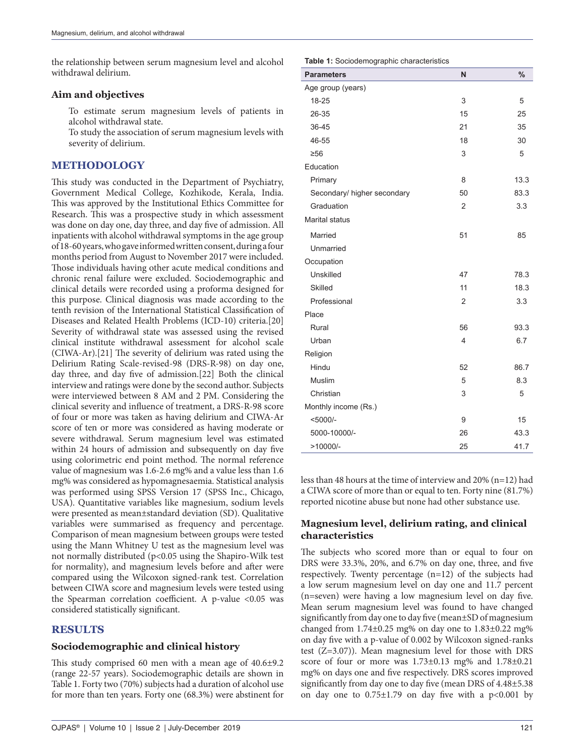the relationship between serum magnesium level and alcohol withdrawal delirium.

#### **Aim and objectives**

To estimate serum magnesium levels of patients in alcohol withdrawal state.

To study the association of serum magnesium levels with severity of delirium.

## **METHODOLOGY**

This study was conducted in the Department of Psychiatry, Government Medical College, Kozhikode, Kerala, India. This was approved by the Institutional Ethics Committee for Research. This was a prospective study in which assessment was done on day one, day three, and day five of admission. All inpatients with alcohol withdrawal symptoms in the age group of 18-60 years, who gave informed written consent, during a four months period from August to November 2017 were included. Those individuals having other acute medical conditions and chronic renal failure were excluded. Sociodemographic and clinical details were recorded using a proforma designed for this purpose. Clinical diagnosis was made according to the tenth revision of the International Statistical Classification of Diseases and Related Health Problems (ICD-10) criteria.[20] Severity of withdrawal state was assessed using the revised clinical institute withdrawal assessment for alcohol scale (CIWA-Ar).[21] The severity of delirium was rated using the Delirium Rating Scale-revised-98 (DRS-R-98) on day one, day three, and day five of admission.[22] Both the clinical interview and ratings were done by the second author. Subjects were interviewed between 8 AM and 2 PM. Considering the clinical severity and influence of treatment, a DRS-R-98 score of four or more was taken as having delirium and CIWA-Ar score of ten or more was considered as having moderate or severe withdrawal. Serum magnesium level was estimated within 24 hours of admission and subsequently on day five using colorimetric end point method. The normal reference value of magnesium was 1.6-2.6 mg% and a value less than 1.6 mg% was considered as hypomagnesaemia. Statistical analysis was performed using SPSS Version 17 (SPSS Inc., Chicago, USA). Quantitative variables like magnesium, sodium levels were presented as mean±standard deviation (SD). Qualitative variables were summarised as frequency and percentage. Comparison of mean magnesium between groups were tested using the Mann Whitney U test as the magnesium level was not normally distributed (p<0.05 using the Shapiro-Wilk test for normality), and magnesium levels before and after were compared using the Wilcoxon signed-rank test. Correlation between CIWA score and magnesium levels were tested using the Spearman correlation coefficient. A  $p$ -value <0.05 was considered statistically significant.

## **RESULTS**

### **Sociodemographic and clinical history**

This study comprised 60 men with a mean age of 40.6±9.2 (range 22-57 years). Sociodemographic details are shown in Table 1. Forty two (70%) subjects had a duration of alcohol use for more than ten years. Forty one (68.3%) were abstinent for **Table 1:** Sociodemographic characteristics

| <b>Parameters</b>           | N              | $\frac{0}{0}$ |
|-----------------------------|----------------|---------------|
| Age group (years)           |                |               |
| 18-25                       | 3              | 5             |
| 26-35                       | 15             | 25            |
| 36-45                       | 21             | 35            |
| 46-55                       | 18             | 30            |
| $\geq 56$                   | 3              | 5             |
| Education                   |                |               |
| Primary                     | 8              | 13.3          |
| Secondary/ higher secondary | 50             | 83.3          |
| Graduation                  | $\overline{2}$ | 3.3           |
| <b>Marital status</b>       |                |               |
| Married                     | 51             | 85            |
| Unmarried                   |                |               |
| Occupation                  |                |               |
| Unskilled                   | 47             | 78.3          |
| Skilled                     | 11             | 18.3          |
| Professional                | 2              | 3.3           |
| Place                       |                |               |
| Rural                       | 56             | 93.3          |
| Urban                       | 4              | 6.7           |
| Religion                    |                |               |
| Hindu                       | 52             | 86.7          |
| Muslim                      | 5              | 8.3           |
| Christian                   | 3              | 5             |
| Monthly income (Rs.)        |                |               |
| $<$ 5000/-                  | 9              | 15            |
| 5000-10000/-                | 26             | 43.3          |
| $>10000/-$                  | 25             | 41.7          |

less than 48 hours at the time of interview and 20% (n=12) had a CIWA score of more than or equal to ten. Forty nine (81.7%) reported nicotine abuse but none had other substance use.

# **Magnesium level, delirium rating, and clinical characteristics**

The subjects who scored more than or equal to four on DRS were 33.3%, 20%, and 6.7% on day one, three, and five respectively. Twenty percentage (n=12) of the subjects had a low serum magnesium level on day one and 11.7 percent (n=seven) were having a low magnesium level on day five. Mean serum magnesium level was found to have changed significantly from day one to day five (mean±SD of magnesium changed from 1.74±0.25 mg% on day one to 1.83±0.22 mg% on day five with a p-value of 0.002 by Wilcoxon signed-ranks test (Z=3.07)). Mean magnesium level for those with DRS score of four or more was  $1.73\pm0.13$  mg% and  $1.78\pm0.21$ mg% on days one and five respectively. DRS scores improved significantly from day one to day five (mean DRS of 4.48±5.38 on day one to  $0.75 \pm 1.79$  on day five with a  $p < 0.001$  by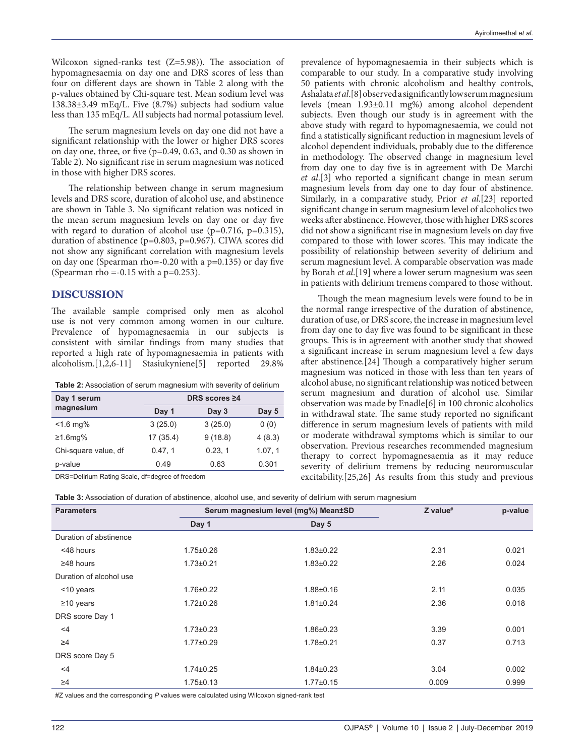Wilcoxon signed-ranks test (Z=5.98)). The association of hypomagnesaemia on day one and DRS scores of less than four on different days are shown in Table 2 along with the p-values obtained by Chi-square test. Mean sodium level was  $138.38\pm3.49$  mEq/L. Five (8.7%) subjects had sodium value less than 135 mEq/L. All subjects had normal potassium level.

The serum magnesium levels on day one did not have a significant relationship with the lower or higher DRS scores on day one, three, or five (p=0.49, 0.63, and 0.30 as shown in Table 2). No significant rise in serum magnesium was noticed in those with higher DRS scores.

The relationship between change in serum magnesium levels and DRS score, duration of alcohol use, and abstinence are shown in Table 3. No significant relation was noticed in the mean serum magnesium levels on day one or day five with regard to duration of alcohol use (p=0.716, p=0.315), duration of abstinence (p=0.803, p=0.967). CIWA scores did not show any significant correlation with magnesium levels on day one (Spearman rho=-0.20 with a p=0.135) or day five (Spearman rho =  $-0.15$  with a p= $0.253$ ).

## **DISCUSSION**

The available sample comprised only men as alcohol use is not very common among women in our culture. Prevalence of hypomagnesaemia in our subjects is consistent with similar findings from many studies that reported a high rate of hypomagnesaemia in patients with alcoholism.[1,2,6-11] Stasiukyniene[5] reported 29.8%

|  | Table 2: Association of serum magnesium with severity of delirium |
|--|-------------------------------------------------------------------|
|  |                                                                   |

| Day 1 serum          | DRS scores ≥4 |         |         |  |
|----------------------|---------------|---------|---------|--|
| magnesium            | Day 1         | Day 3   | Day 5   |  |
| $< 1.6$ mg%          | 3(25.0)       | 3(25.0) | 0(0)    |  |
| ≥1.6mg%              | 17(35.4)      | 9(18.8) | 4(8.3)  |  |
| Chi-square value, df | 0.47, 1       | 0.23, 1 | 1.07, 1 |  |
| p-value              | 0.49          | 0.63    | 0.301   |  |

DRS=Delirium Rating Scale, df=degree of freedom

prevalence of hypomagnesaemia in their subjects which is comparable to our study. In a comparative study involving 50 patients with chronic alcoholism and healthy controls, Ashalata *et al*.[8] observed a significantly low serum magnesium levels (mean 1.93±0.11 mg%) among alcohol dependent subjects. Even though our study is in agreement with the above study with regard to hypomagnesaemia, we could not find a statistically significant reduction in magnesium levels of alcohol dependent individuals, probably due to the difference in methodology. The observed change in magnesium level from day one to day five is in agreement with De Marchi *et al*.[3] who reported a significant change in mean serum magnesium levels from day one to day four of abstinence. Similarly, in a comparative study, Prior *et al*.[23] reported significant change in serum magnesium level of alcoholics two weeks after abstinence. However, those with higher DRS scores did not show a significant rise in magnesium levels on day five compared to those with lower scores. This may indicate the possibility of relationship between severity of delirium and serum magnesium level. A comparable observation was made by Borah *et al*.[19] where a lower serum magnesium was seen in patients with delirium tremens compared to those without.

Though the mean magnesium levels were found to be in the normal range irrespective of the duration of abstinence, duration of use, or DRS score, the increase in magnesium level from day one to day five was found to be significant in these groups. This is in agreement with another study that showed a significant increase in serum magnesium level a few days after abstinence.[24] Though a comparatively higher serum magnesium was noticed in those with less than ten years of alcohol abuse, no significant relationship was noticed between serum magnesium and duration of alcohol use. Similar observation was made by Enadle[6] in 100 chronic alcoholics in withdrawal state. The same study reported no significant difference in serum magnesium levels of patients with mild or moderate withdrawal symptoms which is similar to our observation. Previous researches recommended magnesium therapy to correct hypomagnesaemia as it may reduce severity of delirium tremens by reducing neuromuscular excitability.[25,26] As results from this study and previous

| Table 3: Association of duration of abstinence, alcohol use, and severity of delirium with serum magnesium |  |  |
|------------------------------------------------------------------------------------------------------------|--|--|
|------------------------------------------------------------------------------------------------------------|--|--|

| <b>Parameters</b>       | Serum magnesium level (mg%) Mean±SD |                 | $Z$ value <sup>#</sup> | p-value |
|-------------------------|-------------------------------------|-----------------|------------------------|---------|
|                         | Day 1                               | Day 5           |                        |         |
| Duration of abstinence  |                                     |                 |                        |         |
| <48 hours               | $1.75 \pm 0.26$                     | $1.83 \pm 0.22$ | 2.31                   | 0.021   |
| $\geq$ 48 hours         | $1.73 \pm 0.21$                     | $1.83 \pm 0.22$ | 2.26                   | 0.024   |
| Duration of alcohol use |                                     |                 |                        |         |
| <10 years               | $1.76 \pm 0.22$                     | $1.88 \pm 0.16$ | 2.11                   | 0.035   |
| $\geq$ 10 years         | $1.72 \pm 0.26$                     | $1.81 \pm 0.24$ | 2.36                   | 0.018   |
| DRS score Day 1         |                                     |                 |                        |         |
| $<$ 4                   | $1.73 \pm 0.23$                     | $1.86 \pm 0.23$ | 3.39                   | 0.001   |
| $\geq 4$                | $1.77 \pm 0.29$                     | 1.78±0.21       | 0.37                   | 0.713   |
| DRS score Day 5         |                                     |                 |                        |         |
| $<$ 4                   | $1.74 \pm 0.25$                     | $1.84 \pm 0.23$ | 3.04                   | 0.002   |
| $\geq 4$                | $1.75 \pm 0.13$                     | $1.77 \pm 0.15$ | 0.009                  | 0.999   |

#Z values and the corresponding *P* values were calculated using Wilcoxon signed-rank test